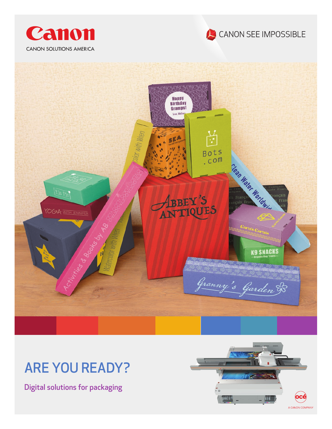





# ARE YOU READY?

Digital solutions for packaging

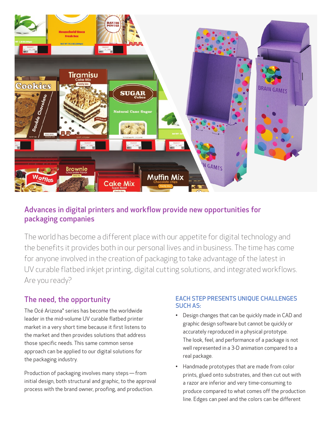

#### Advances in digital printers and workflow provide new opportunities for packaging companies

The world has become a different place with our appetite for digital technology and the benefits it provides both in our personal lives and in business. The time has come for anyone involved in the creation of packaging to take advantage of the latest in UV curable flatbed inkjet printing, digital cutting solutions, and integrated workflows. Are you ready?

### The need, the opportunity

The Océ Arizona® series has become the worldwide leader in the mid-volume UV curable flatbed printer market in a very short time because it first listens to the market and then provides solutions that address those specific needs. This same common sense approach can be applied to our digital solutions for the packaging industry.

Production of packaging involves many steps — from initial design, both structural and graphic, to the approval process with the brand owner, proofing, and production.

#### EACH STEP PRESENTS UNIQUE CHALLENGES SUCH AS:

- Design changes that can be quickly made in CAD and graphic design software but cannot be quickly or accurately reproduced in a physical prototype. The look, feel, and performance of a package is not well represented in a 3-D animation compared to a real package.
- Handmade prototypes that are made from color prints, glued onto substrates, and then cut out with a razor are inferior and very time-consuming to produce compared to what comes off the production line. Edges can peel and the colors can be different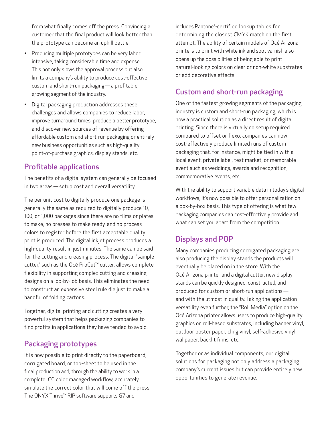from what finally comes off the press. Convincing a customer that the final product will look better than the prototype can become an uphill battle.

- Producing multiple prototypes can be very labor intensive, taking considerable time and expense. This not only slows the approval process but also limits a company's ability to produce cost-effective custom and short-run packaging — a profitable, growing segment of the industry.
- Digital packaging production addresses these challenges and allows companies to reduce labor, improve turnaround times, produce a better prototype, and discover new sources of revenue by offering affordable custom and short-run packaging or entirely new business opportunities such as high-quality point-of-purchase graphics, display stands, etc.

#### Profitable applications

The benefits of a digital system can generally be focused in two areas — setup cost and overall versatility.

The per unit cost to digitally produce one package is generally the same as required to digitally produce 10, 100, or 1,000 packages since there are no films or plates to make, no presses to make ready, and no process colors to register before the first acceptable quality print is produced. The digital inkjet process produces a high-quality result in just minutes. The same can be said for the cutting and creasing process. The digital "sample cutter," such as the Océ ProCut™ cutter, allows complete flexibility in supporting complex cutting and creasing designs on a job-by-job basis. This eliminates the need to construct an expensive steel rule die just to make a handful of folding cartons.

Together, digital printing and cutting creates a very powerful system that helps packaging companies to find profits in applications they have tended to avoid.

#### Packaging prototypes

It is now possible to print directly to the paperboard, corrugated board, or top-sheet to be used in the final production and, through the ability to work in a complete ICC color managed workflow, accurately simulate the correct color that will come off the press. The ONYX Thrive™ RIP software supports G7 and

includes Pantone®-certified lookup tables for determining the closest CMYK match on the first attempt. The ability of certain models of Océ Arizona printers to print with white ink and spot varnish also opens up the possibilities of being able to print natural-looking colors on clear or non-white substrates or add decorative effects.

### Custom and short-run packaging

One of the fastest growing segments of the packaging industry is custom and short-run packaging, which is now a practical solution as a direct result of digital printing. Since there is virtually no setup required compared to offset or flexo, companies can now cost-effectively produce limited runs of custom packaging that, for instance, might be tied in with a local event, private label, test market, or memorable event such as weddings, awards and recognition, commemorative events, etc.

With the ability to support variable data in today's digital workflows, it's now possible to offer personalization on a box-by-box basis. This type of offering is what few packaging companies can cost-effectively provide and what can set you apart from the competition.

### Displays and POP

Many companies producing corrugated packaging are also producing the display stands the products will eventually be placed on in the store. With the Océ Arizona printer and a digital cutter, new display stands can be quickly designed, constructed, and produced for custom or short-run applications  and with the utmost in quality. Taking the application versatility even further, the "Roll Media" option on the Océ Arizona printer allows users to produce high-quality graphics on roll-based substrates, including banner vinyl, outdoor poster paper, cling vinyl, self-adhesive vinyl, wallpaper, backlit films, etc.

Together or as individual components, our digital solutions for packaging not only address a packaging company's current issues but can provide entirely new opportunities to generate revenue.